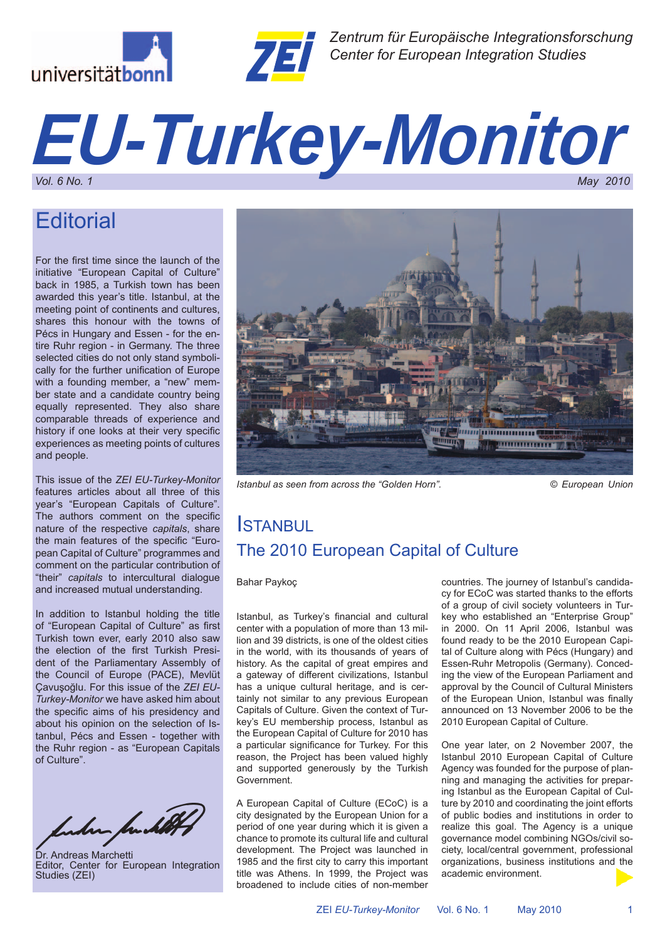



*Zentrum für Europäische Integrationsforschung Center for European Integration Studies*

# *EU-Turkey-Monitor Vol. 6 No. 1 May 2010*

# **Editorial**

For the first time since the launch of the initiative "European Capital of Culture" back in 1985, a Turkish town has been awarded this year's title. Istanbul, at the meeting point of continents and cultures, shares this honour with the towns of Pécs in Hungary and Essen - for the entire Ruhr region - in Germany. The three selected cities do not only stand symbolically for the further unification of Europe with a founding member, a "new" member state and a candidate country being equally represented. They also share comparable threads of experience and history if one looks at their very specific experiences as meeting points of cultures and people.

This issue of the *ZEI EU-Turkey-Monitor*  features articles about all three of this year's "European Capitals of Culture". The authors comment on the specific nature of the respective *capitals*, share the main features of the specific "European Capital of Culture" programmes and comment on the particular contribution of "their" *capitals* to intercultural dialogue and increased mutual understanding.

In addition to Istanbul holding the title of "European Capital of Culture" as first Turkish town ever, early 2010 also saw the election of the first Turkish President of the Parliamentary Assembly of the Council of Europe (PACE), Mevlüt Çavuşoğlu. For this issue of the *ZEI EU-Turkey-Monitor* we have asked him about the specific aims of his presidency and about his opinion on the selection of Istanbul, Pécs and Essen - together with the Ruhr region - as "European Capitals of Culture".

Inder Jack 10

Dr. Andreas Marchetti Editor, Center for European Integration Studies (ZEI)



*Istanbul as seen from across the "Golden Horn". © European Union*

# **ISTANBUL** The 2010 European Capital of Culture

## Bahar Paykoç

Istanbul, as Turkey's financial and cultural center with a population of more than 13 million and 39 districts, is one of the oldest cities in the world, with its thousands of years of history. As the capital of great empires and a gateway of different civilizations, Istanbul has a unique cultural heritage, and is certainly not similar to any previous European Capitals of Culture. Given the context of Turkey's EU membership process, Istanbul as the European Capital of Culture for 2010 has a particular significance for Turkey. For this reason, the Project has been valued highly and supported generously by the Turkish Government.

A European Capital of Culture (ECoC) is a city designated by the European Union for a period of one year during which it is given a chance to promote its cultural life and cultural development. The Project was launched in 1985 and the first city to carry this important title was Athens. In 1999, the Project was broadened to include cities of non-member

countries. The journey of Istanbul's candidacy for ECoC was started thanks to the efforts of a group of civil society volunteers in Turkey who established an "Enterprise Group" in 2000. On 11 April 2006, Istanbul was found ready to be the 2010 European Capital of Culture along with Pécs (Hungary) and Essen-Ruhr Metropolis (Germany). Conceding the view of the European Parliament and approval by the Council of Cultural Ministers of the European Union, Istanbul was finally announced on 13 November 2006 to be the 2010 European Capital of Culture.

One year later, on 2 November 2007, the Istanbul 2010 European Capital of Culture Agency was founded for the purpose of planning and managing the activities for preparing Istanbul as the European Capital of Culture by 2010 and coordinating the joint efforts of public bodies and institutions in order to realize this goal. The Agency is a unique governance model combining NGOs/civil society, local/central government, professional organizations, business institutions and the academic environment.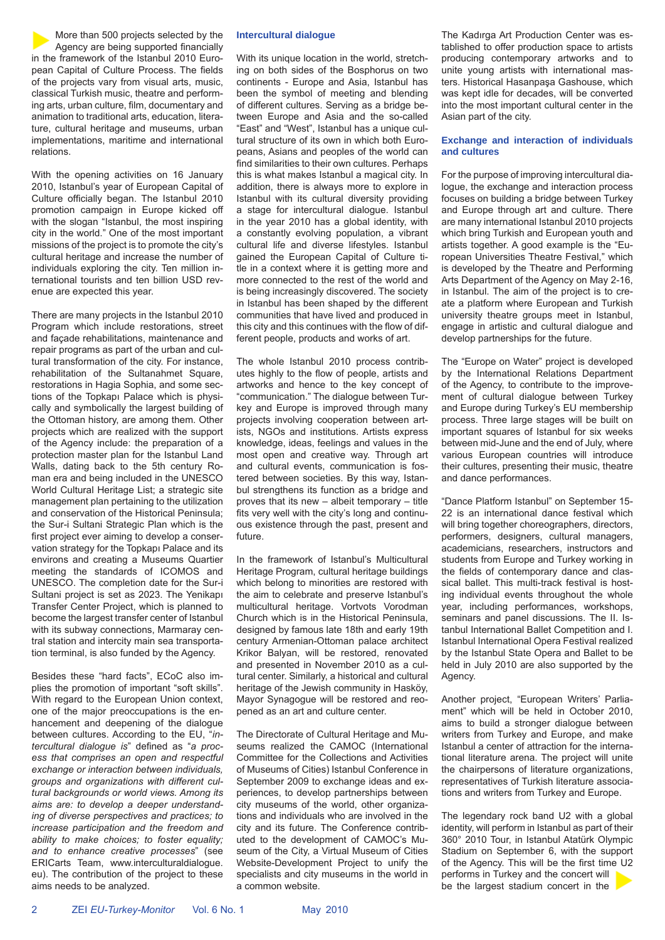

With the opening activities on 16 January 2010, Istanbul's year of European Capital of Culture officially began. The Istanbul 2010 promotion campaign in Europe kicked off with the slogan "Istanbul, the most inspiring city in the world." One of the most important missions of the project is to promote the city's cultural heritage and increase the number of individuals exploring the city. Ten million international tourists and ten billion USD revenue are expected this year.

There are many projects in the Istanbul 2010 Program which include restorations, street and façade rehabilitations, maintenance and repair programs as part of the urban and cultural transformation of the city. For instance, rehabilitation of the Sultanahmet Square, restorations in Hagia Sophia, and some sections of the Topkapı Palace which is physically and symbolically the largest building of the Ottoman history, are among them. Other projects which are realized with the support of the Agency include: the preparation of a protection master plan for the Istanbul Land Walls, dating back to the 5th century Roman era and being included in the UNESCO World Cultural Heritage List; a strategic site management plan pertaining to the utilization and conservation of the Historical Peninsula; the Sur-i Sultani Strategic Plan which is the first project ever aiming to develop a conservation strategy for the Topkapı Palace and its environs and creating a Museums Quartier meeting the standards of ICOMOS and UNESCO. The completion date for the Sur-i Sultani project is set as 2023. The Yenikapı Transfer Center Project, which is planned to become the largest transfer center of Istanbul with its subway connections, Marmaray central station and intercity main sea transportation terminal, is also funded by the Agency.

Besides these "hard facts", ECoC also implies the promotion of important "soft skills". With regard to the European Union context, one of the major preoccupations is the enhancement and deepening of the dialogue between cultures. According to the EU, "*in*tercultural dialogue is" defined as "a proc*ess that comprises an open and respectful exchange or interaction between individuals, groups and organizations with different cultural backgrounds or world views. Among its aims are: to develop a deeper understanding of diverse perspectives and practices; to increase participation and the freedom and ability to make choices; to foster equality; and to enhance creative processes*" (see ERICarts Team, www.interculturaldialogue. eu). The contribution of the project to these aims needs to be analyzed.

#### **Intercultural dialogue**

With its unique location in the world, stretching on both sides of the Bosphorus on two continents - Europe and Asia, Istanbul has been the symbol of meeting and blending of different cultures. Serving as a bridge between Europe and Asia and the so-called "East" and "West", Istanbul has a unique cultural structure of its own in which both Europeans, Asians and peoples of the world can find similarities to their own cultures. Perhaps this is what makes Istanbul a magical city. In addition, there is always more to explore in Istanbul with its cultural diversity providing a stage for intercultural dialogue. Istanbul in the year 2010 has a global identity, with a constantly evolving population, a vibrant cultural life and diverse lifestyles. Istanbul gained the European Capital of Culture title in a context where it is getting more and more connected to the rest of the world and is being increasingly discovered. The society in Istanbul has been shaped by the different communities that have lived and produced in this city and this continues with the flow of different people, products and works of art.

The whole Istanbul 2010 process contributes highly to the flow of people, artists and artworks and hence to the key concept of "communication." The dialogue between Turkey and Europe is improved through many projects involving cooperation between artists, NGOs and institutions. Artists express knowledge, ideas, feelings and values in the most open and creative way. Through art and cultural events, communication is fostered between societies. By this way, Istanbul strengthens its function as a bridge and proves that its new – albeit temporary – title fits very well with the city's long and continuous existence through the past, present and future.

In the framework of Istanbul's Multicultural Heritage Program, cultural heritage buildings which belong to minorities are restored with the aim to celebrate and preserve Istanbul's multicultural heritage. Vortvots Vorodman Church which is in the Historical Peninsula, designed by famous late 18th and early 19th century Armenian-Ottoman palace architect Krikor Balyan, will be restored, renovated and presented in November 2010 as a cultural center. Similarly, a historical and cultural heritage of the Jewish community in Hasköy, Mayor Synagogue will be restored and reopened as an art and culture center.

The Directorate of Cultural Heritage and Museums realized the CAMOC (International Committee for the Collections and Activities of Museums of Cities) Istanbul Conference in September 2009 to exchange ideas and experiences, to develop partnerships between city museums of the world, other organizations and individuals who are involved in the city and its future. The Conference contributed to the development of CAMOC's Museum of the City, a Virtual Museum of Cities Website-Development Project to unify the specialists and city museums in the world in a common website.

The Kadırga Art Production Center was established to offer production space to artists producing contemporary artworks and to unite young artists with international masters. Historical Hasanpaşa Gashouse, which was kept idle for decades, will be converted into the most important cultural center in the Asian part of the city.

## **Exchange and interaction of individuals and cultures**

For the purpose of improving intercultural dialogue, the exchange and interaction process focuses on building a bridge between Turkey and Europe through art and culture. There are many international Istanbul 2010 projects which bring Turkish and European youth and artists together. A good example is the "European Universities Theatre Festival," which is developed by the Theatre and Performing Arts Department of the Agency on May 2-16, in Istanbul. The aim of the project is to create a platform where European and Turkish university theatre groups meet in Istanbul, engage in artistic and cultural dialogue and develop partnerships for the future.

The "Europe on Water" project is developed by the International Relations Department of the Agency, to contribute to the improvement of cultural dialogue between Turkey and Europe during Turkey's EU membership process. Three large stages will be built on important squares of Istanbul for six weeks between mid-June and the end of July, where various European countries will introduce their cultures, presenting their music, theatre and dance performances.

"Dance Platform Istanbul" on September 15- 22 is an international dance festival which will bring together choreographers, directors, performers, designers, cultural managers, academicians, researchers, instructors and students from Europe and Turkey working in the fields of contemporary dance and classical ballet. This multi-track festival is hosting individual events throughout the whole year, including performances, workshops, seminars and panel discussions. The II. Istanbul International Ballet Competition and I. Istanbul International Opera Festival realized by the Istanbul State Opera and Ballet to be held in July 2010 are also supported by the Agency.

Another project, "European Writers' Parliament" which will be held in October 2010, aims to build a stronger dialogue between writers from Turkey and Europe, and make Istanbul a center of attraction for the international literature arena. The project will unite the chairpersons of literature organizations, representatives of Turkish literature associations and writers from Turkey and Europe.

The legendary rock band U2 with a global identity, will perform in Istanbul as part of their 360° 2010 Tour, in Istanbul Atatürk Olympic Stadium on September 6, with the support of the Agency. This will be the first time U2 performs in Turkey and the concert will be the largest stadium concert in the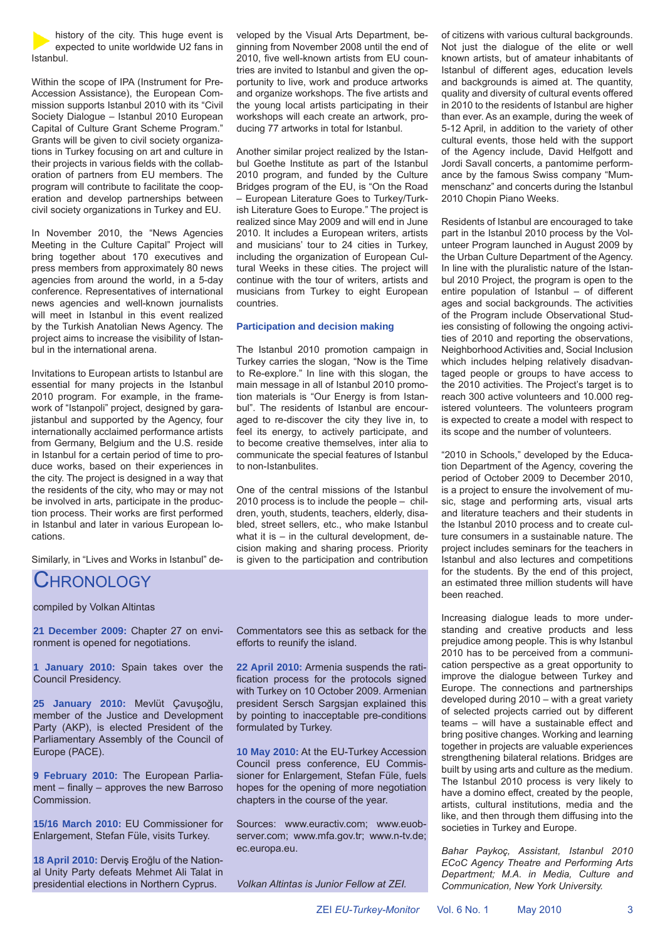history of the city. This huge event is expected to unite worldwide U2 fans in Istanbul.

Within the scope of IPA (Instrument for Pre-Accession Assistance), the European Commission supports Istanbul 2010 with its "Civil Society Dialogue – Istanbul 2010 European Capital of Culture Grant Scheme Program." Grants will be given to civil society organizations in Turkey focusing on art and culture in their projects in various fields with the collaboration of partners from EU members. The program will contribute to facilitate the cooperation and develop partnerships between civil society organizations in Turkey and EU.

In November 2010, the "News Agencies Meeting in the Culture Capital" Project will bring together about 170 executives and press members from approximately 80 news agencies from around the world, in a 5-day conference. Representatives of international news agencies and well-known journalists will meet in Istanbul in this event realized by the Turkish Anatolian News Agency. The project aims to increase the visibility of Istanbul in the international arena.

Invitations to European artists to Istanbul are essential for many projects in the Istanbul 2010 program. For example, in the framework of "Istanpoli" project, designed by garajistanbul and supported by the Agency, four internationally acclaimed performance artists from Germany, Belgium and the U.S. reside in Istanbul for a certain period of time to produce works, based on their experiences in the city. The project is designed in a way that the residents of the city, who may or may not be involved in arts, participate in the production process. Their works are first performed in Istanbul and later in various European locations.

Similarly, in "Lives and Works in Istanbul" de-

# **CHRONOLOGY**

compiled by Volkan Altintas

**21 December 2009:** Chapter 27 on environment is opened for negotiations.

**1 January 2010:** Spain takes over the Council Presidency.

**25 January 2010:** Mevlüt Çavuşoğlu, member of the Justice and Development Party (AKP), is elected President of the Parliamentary Assembly of the Council of Europe (PACE).

**9 February 2010:** The European Parlia $ment - finally - approaches the new Barroso$ Commission.

**15/16 March 2010:** EU Commissioner for Enlargement, Stefan Füle, visits Turkey.

**18 April 2010:** Derviş Eroğlu of the National Unity Party defeats Mehmet Ali Talat in presidential elections in Northern Cyprus.

veloped by the Visual Arts Department, beginning from November 2008 until the end of 2010, five well-known artists from EU countries are invited to Istanbul and given the opportunity to live, work and produce artworks and organize workshops. The five artists and the young local artists participating in their workshops will each create an artwork, producing 77 artworks in total for Istanbul.

Another similar project realized by the Istanbul Goethe Institute as part of the Istanbul 2010 program, and funded by the Culture Bridges program of the EU, is "On the Road – European Literature Goes to Turkey/Turkish Literature Goes to Europe." The project is realized since May 2009 and will end in June 2010. It includes a European writers, artists and musicians' tour to 24 cities in Turkey, including the organization of European Cultural Weeks in these cities. The project will continue with the tour of writers, artists and musicians from Turkey to eight European countries.

## **Participation and decision making**

The Istanbul 2010 promotion campaign in Turkey carries the slogan, "Now is the Time to Re-explore." In line with this slogan, the main message in all of Istanbul 2010 promotion materials is "Our Energy is from Istanbul". The residents of Istanbul are encouraged to re-discover the city they live in, to feel its energy, to actively participate, and to become creative themselves, inter alia to communicate the special features of Istanbul to non-Istanbulites.

One of the central missions of the Istanbul 2010 process is to include the people – children, youth, students, teachers, elderly, disabled, street sellers, etc., who make Istanbul what it is – in the cultural development, decision making and sharing process. Priority is given to the participation and contribution

Commentators see this as setback for the efforts to reunify the island.

**22 April 2010:** Armenia suspends the ratification process for the protocols signed with Turkey on 10 October 2009. Armenian president Sersch Sargsjan explained this by pointing to inacceptable pre-conditions formulated by Turkey.

**10 May 2010:** At the EU-Turkey Accession Council press conference, EU Commissioner for Enlargement, Stefan Füle, fuels hopes for the opening of more negotiation chapters in the course of the year.

Sources: www.euractiv.com; www.euobserver.com; www.mfa.gov.tr; www.n-tv.de; ec.europa.eu.

*Volkan Altintas is Junior Fellow at ZEI.*

of citizens with various cultural backgrounds. Not just the dialogue of the elite or well known artists, but of amateur inhabitants of Istanbul of different ages, education levels and backgrounds is aimed at. The quantity, quality and diversity of cultural events offered in 2010 to the residents of Istanbul are higher than ever. As an example, during the week of 5-12 April, in addition to the variety of other cultural events, those held with the support of the Agency include, David Helfgott and Jordi Savall concerts, a pantomime performance by the famous Swiss company "Mummenschanz" and concerts during the Istanbul 2010 Chopin Piano Weeks.

Residents of Istanbul are encouraged to take part in the Istanbul 2010 process by the Volunteer Program launched in August 2009 by the Urban Culture Department of the Agency. In line with the pluralistic nature of the Istanbul 2010 Project, the program is open to the entire population of Istanbul – of different ages and social backgrounds. The activities of the Program include Observational Studies consisting of following the ongoing activities of 2010 and reporting the observations, Neighborhood Activities and, Social Inclusion which includes helping relatively disadvantaged people or groups to have access to the 2010 activities. The Project's target is to reach 300 active volunteers and 10.000 registered volunteers. The volunteers program is expected to create a model with respect to its scope and the number of volunteers.

"2010 in Schools," developed by the Education Department of the Agency, covering the period of October 2009 to December 2010, is a project to ensure the involvement of music, stage and performing arts, visual arts and literature teachers and their students in the Istanbul 2010 process and to create culture consumers in a sustainable nature. The project includes seminars for the teachers in Istanbul and also lectures and competitions for the students. By the end of this project, an estimated three million students will have been reached.

Increasing dialogue leads to more understanding and creative products and less prejudice among people. This is why Istanbul 2010 has to be perceived from a communication perspective as a great opportunity to improve the dialogue between Turkey and Europe. The connections and partnerships developed during 2010 – with a great variety of selected projects carried out by different teams – will have a sustainable effect and bring positive changes. Working and learning together in projects are valuable experiences strengthening bilateral relations. Bridges are built by using arts and culture as the medium. The Istanbul 2010 process is very likely to have a domino effect, created by the people, artists, cultural institutions, media and the like, and then through them diffusing into the societies in Turkey and Europe.

*Bahar Paykoç, Assistant, Istanbul 2010 ECoC Agency Theatre and Performing Arts Department; M.A. in Media, Culture and Communication, New York University.*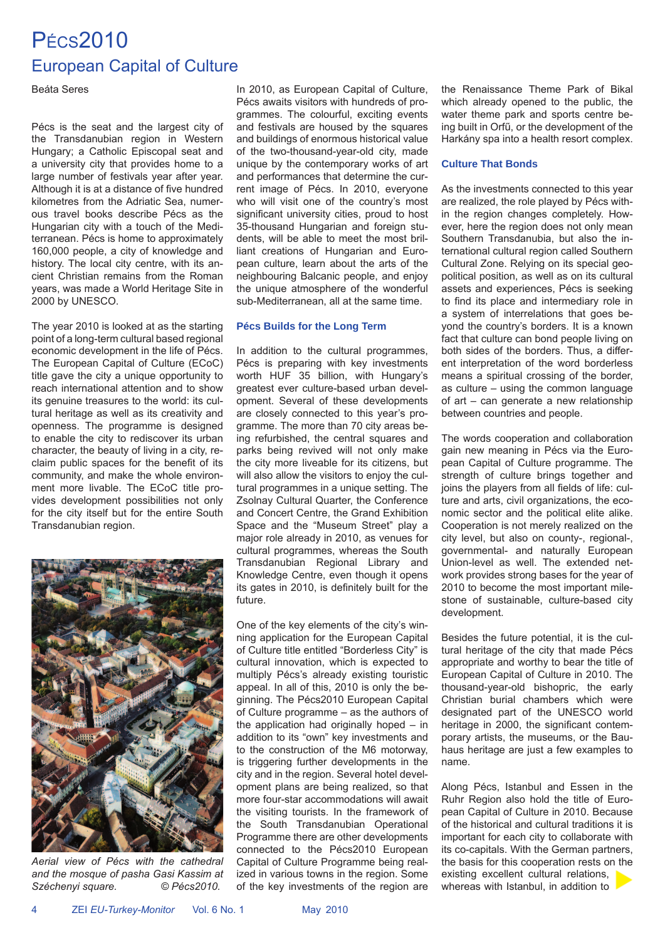# PÉCS2010 European Capital of Culture

Beáta Seres

Pécs is the seat and the largest city of the Transdanubian region in Western Hungary; a Catholic Episcopal seat and a university city that provides home to a large number of festivals year after year. Although it is at a distance of five hundred kilometres from the Adriatic Sea, numerous travel books describe Pécs as the Hungarian city with a touch of the Mediterranean. Pécs is home to approximately 160,000 people, a city of knowledge and history. The local city centre, with its ancient Christian remains from the Roman years, was made a World Heritage Site in 2000 by UNESCO.

The year 2010 is looked at as the starting point of a long-term cultural based regional economic development in the life of Pécs. The European Capital of Culture (ECoC) title gave the city a unique opportunity to reach international attention and to show its genuine treasures to the world: its cultural heritage as well as its creativity and openness. The programme is designed to enable the city to rediscover its urban character, the beauty of living in a city, reclaim public spaces for the benefit of its community, and make the whole environment more livable. The ECoC title provides development possibilities not only for the city itself but for the entire South Transdanubian region.



*Aerial view of Pécs with the cathedral and the mosque of pasha Gasi Kassim at Széchenyi square. © Pécs2010.*

In 2010, as European Capital of Culture, Pécs awaits visitors with hundreds of programmes. The colourful, exciting events and festivals are housed by the squares and buildings of enormous historical value of the two-thousand-year-old city, made unique by the contemporary works of art and performances that determine the current image of Pécs. In 2010, everyone who will visit one of the country's most significant university cities, proud to host 35-thousand Hungarian and foreign students, will be able to meet the most brilliant creations of Hungarian and European culture, learn about the arts of the neighbouring Balcanic people, and enjoy the unique atmosphere of the wonderful sub-Mediterranean, all at the same time.

## **Pécs Builds for the Long Term**

In addition to the cultural programmes, Pécs is preparing with key investments worth HUF 35 billion, with Hungary's greatest ever culture-based urban development. Several of these developments are closely connected to this year's programme. The more than 70 city areas being refurbished, the central squares and parks being revived will not only make the city more liveable for its citizens, but will also allow the visitors to enjoy the cultural programmes in a unique setting. The Zsolnay Cultural Quarter, the Conference and Concert Centre, the Grand Exhibition Space and the "Museum Street" play a major role already in 2010, as venues for cultural programmes, whereas the South Transdanubian Regional Library and Knowledge Centre, even though it opens its gates in 2010, is definitely built for the future.

One of the key elements of the city's winning application for the European Capital of Culture title entitled "Borderless City" is cultural innovation, which is expected to multiply Pécs's already existing touristic appeal. In all of this, 2010 is only the beginning. The Pécs2010 European Capital of Culture programme – as the authors of the application had originally hoped – in addition to its "own" key investments and to the construction of the M6 motorway, is triggering further developments in the city and in the region. Several hotel development plans are being realized, so that more four-star accommodations will await the visiting tourists. In the framework of the South Transdanubian Operational Programme there are other developments connected to the Pécs2010 European Capital of Culture Programme being realized in various towns in the region. Some of the key investments of the region are

the Renaissance Theme Park of Bikal which already opened to the public, the water theme park and sports centre being built in Orfű, or the development of the Harkány spa into a health resort complex.

# **Culture That Bonds**

As the investments connected to this year are realized, the role played by Pécs within the region changes completely. However, here the region does not only mean Southern Transdanubia, but also the international cultural region called Southern Cultural Zone. Relying on its special geopolitical position, as well as on its cultural assets and experiences, Pécs is seeking to find its place and intermediary role in a system of interrelations that goes beyond the country's borders. It is a known fact that culture can bond people living on both sides of the borders. Thus, a different interpretation of the word borderless means a spiritual crossing of the border, as culture – using the common language of art – can generate a new relationship between countries and people.

The words cooperation and collaboration gain new meaning in Pécs via the European Capital of Culture programme. The strength of culture brings together and joins the players from all fields of life: culture and arts, civil organizations, the economic sector and the political elite alike. Cooperation is not merely realized on the city level, but also on county-, regional-, governmental- and naturally European Union-level as well. The extended network provides strong bases for the year of 2010 to become the most important milestone of sustainable, culture-based city development.

Besides the future potential, it is the cultural heritage of the city that made Pécs appropriate and worthy to bear the title of European Capital of Culture in 2010. The thousand-year-old bishopric, the early Christian burial chambers which were designated part of the UNESCO world heritage in 2000, the significant contemporary artists, the museums, or the Bauhaus heritage are just a few examples to name.

Along Pécs, Istanbul and Essen in the Ruhr Region also hold the title of European Capital of Culture in 2010. Because of the historical and cultural traditions it is important for each city to collaborate with its co-capitals. With the German partners, the basis for this cooperation rests on the existing excellent cultural relations, whereas with Istanbul, in addition to

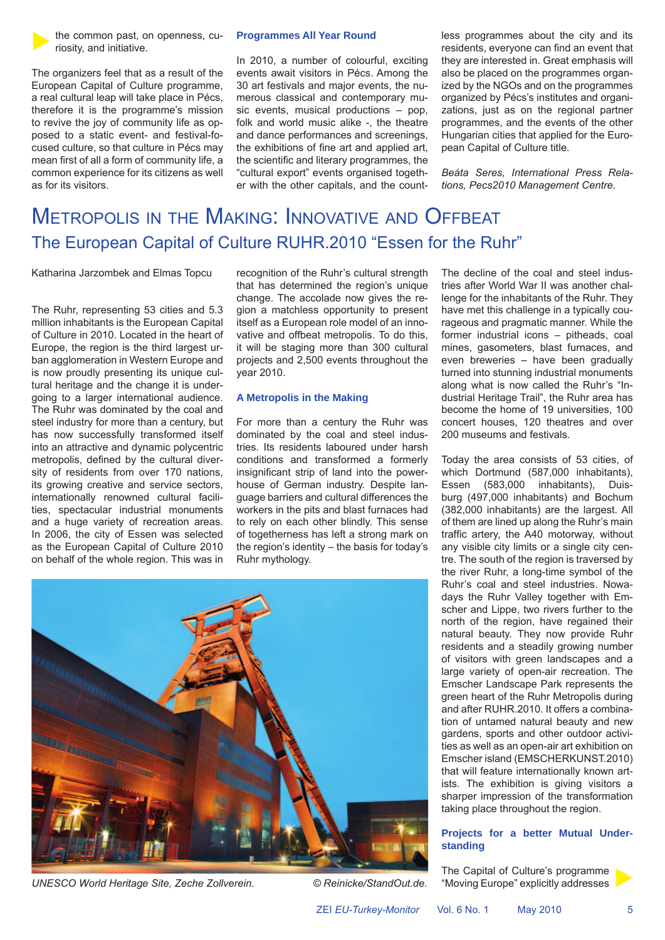

the common past, on openness, curiosity, and initiative.

The organizers feel that as a result of the European Capital of Culture programme, a real cultural leap will take place in Pécs, therefore it is the programme's mission to revive the joy of community life as opposed to a static event- and festival-focused culture, so that culture in Pécs may mean first of all a form of community life, a common experience for its citizens as well as for its visitors.

#### **Programmes All Year Round**

In 2010, a number of colourful, exciting events await visitors in Pécs. Among the 30 art festivals and major events, the numerous classical and contemporary music events, musical productions – pop, folk and world music alike -, the theatre and dance performances and screenings, the exhibitions of fine art and applied art, the scientific and literary programmes, the "cultural export" events organised together with the other capitals, and the countless programmes about the city and its residents, everyone can find an event that they are interested in. Great emphasis will also be placed on the programmes organized by the NGOs and on the programmes organized by Pécs's institutes and organizations, just as on the regional partner programmes, and the events of the other Hungarian cities that applied for the European Capital of Culture title.

*Beáta Seres, International Press Relations, Pecs2010 Management Centre.*

# METROPOLIS IN THE MAKING: INNOVATIVE AND OFFBEAT The European Capital of Culture RUHR.2010 "Essen for the Ruhr"

Katharina Jarzombek and Elmas Topcu

The Ruhr, representing 53 cities and 5.3 million inhabitants is the European Capital of Culture in 2010. Located in the heart of Europe, the region is the third largest urban agglomeration in Western Europe and is now proudly presenting its unique cultural heritage and the change it is undergoing to a larger international audience. The Ruhr was dominated by the coal and steel industry for more than a century, but has now successfully transformed itself into an attractive and dynamic polycentric metropolis, defined by the cultural diversity of residents from over 170 nations, its growing creative and service sectors, internationally renowned cultural facilities, spectacular industrial monuments and a huge variety of recreation areas. In 2006, the city of Essen was selected as the European Capital of Culture 2010 on behalf of the whole region. This was in recognition of the Ruhr's cultural strength that has determined the region's unique change. The accolade now gives the region a matchless opportunity to present itself as a European role model of an innovative and offbeat metropolis. To do this, it will be staging more than 300 cultural projects and 2,500 events throughout the year 2010.

## **A Metropolis in the Making**

For more than a century the Ruhr was dominated by the coal and steel industries. Its residents laboured under harsh conditions and transformed a formerly insignificant strip of land into the powerhouse of German industry. Despite language barriers and cultural differences the workers in the pits and blast furnaces had to rely on each other blindly. This sense of togetherness has left a strong mark on the region's identity – the basis for today's Ruhr mythology.



*UNESCO World Heritage Site, Zeche Zollverein. © Reinicke/StandOut.de.*

The decline of the coal and steel industries after World War II was another challenge for the inhabitants of the Ruhr. They have met this challenge in a typically courageous and pragmatic manner. While the former industrial icons – pitheads, coal mines, gasometers, blast furnaces, and even breweries – have been gradually turned into stunning industrial monuments along what is now called the Ruhr's "Industrial Heritage Trail", the Ruhr area has become the home of 19 universities, 100 concert houses, 120 theatres and over 200 museums and festivals.

Today the area consists of 53 cities, of which Dortmund (587,000 inhabitants), Essen (583,000 inhabitants), Duisburg (497,000 inhabitants) and Bochum (382,000 inhabitants) are the largest. All of them are lined up along the Ruhr's main traffic artery, the A40 motorway, without any visible city limits or a single city centre. The south of the region is traversed by the river Ruhr, a long-time symbol of the Ruhr's coal and steel industries. Nowadays the Ruhr Valley together with Emscher and Lippe, two rivers further to the north of the region, have regained their natural beauty. They now provide Ruhr residents and a steadily growing number of visitors with green landscapes and a large variety of open-air recreation. The Emscher Landscape Park represents the green heart of the Ruhr Metropolis during and after RUHR.2010. It offers a combination of untamed natural beauty and new gardens, sports and other outdoor activities as well as an open-air art exhibition on Emscher island (EMSCHERKUNST.2010) that will feature internationally known artists. The exhibition is giving visitors a sharper impression of the transformation taking place throughout the region.

## **Projects for a better Mutual Understanding**

The Capital of Culture's programme "Moving Europe" explicitly addresses

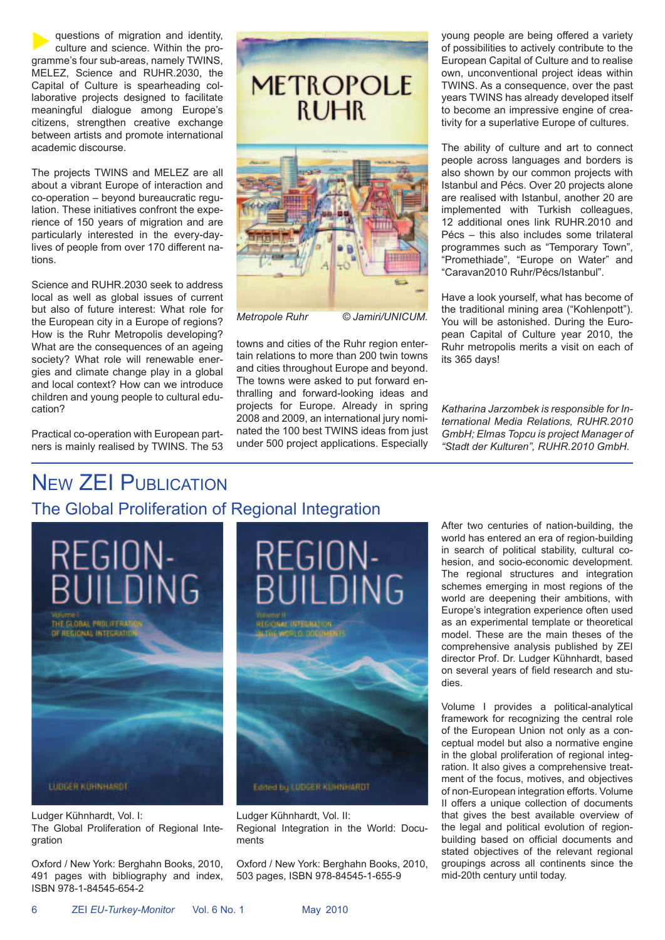questions of migration and identity, culture and science. Within the programme's four sub-areas, namely TWINS, MELEZ, Science and RUHR.2030, the Capital of Culture is spearheading collaborative projects designed to facilitate meaningful dialogue among Europe's citizens, strengthen creative exchange between artists and promote international academic discourse.

The projects TWINS and MELEZ are all about a vibrant Europe of interaction and co-operation – beyond bureaucratic regulation. These initiatives confront the experience of 150 years of migration and are particularly interested in the every-daylives of people from over 170 different nations.

Science and RUHR.2030 seek to address local as well as global issues of current but also of future interest: What role for the European city in a Europe of regions? How is the Ruhr Metropolis developing? What are the consequences of an ageing society? What role will renewable energies and climate change play in a global and local context? How can we introduce children and young people to cultural education?

Practical co-operation with European partners is mainly realised by TWINS. The 53



*Metropole Ruhr © Jamiri/UNICUM.*

towns and cities of the Ruhr region entertain relations to more than 200 twin towns and cities throughout Europe and beyond. The towns were asked to put forward enthralling and forward-looking ideas and projects for Europe. Already in spring 2008 and 2009, an international jury nominated the 100 best TWINS ideas from just under 500 project applications. Especially young people are being offered a variety of possibilities to actively contribute to the European Capital of Culture and to realise own, unconventional project ideas within TWINS. As a consequence, over the past years TWINS has already developed itself to become an impressive engine of creativity for a superlative Europe of cultures.

The ability of culture and art to connect people across languages and borders is also shown by our common projects with Istanbul and Pécs. Over 20 projects alone are realised with Istanbul, another 20 are implemented with Turkish colleagues, 12 additional ones link RUHR.2010 and Pécs – this also includes some trilateral programmes such as "Temporary Town", "Promethiade", "Europe on Water" and "Caravan2010 Ruhr/Pécs/Istanbul".

Have a look yourself, what has become of the traditional mining area ("Kohlenpott"). You will be astonished. During the European Capital of Culture year 2010, the Ruhr metropolis merits a visit on each of its 365 days!

*Katharina Jarzombek is responsible for International Media Relations, RUHR.2010 GmbH; Elmas Topcu is project Manager of "Stadt der Kulturen", RUHR.2010 GmbH.*

# NEW ZEI PUBLICATION The Global Proliferation of Regional Integration

REGION-**BUILDING** THE GLOBAL PROLIFERAT



Ludger Kühnhardt, Vol. I: The Global Proliferation of Regional Integration

Oxford / New York: Berghahn Books, 2010, 491 pages with bibliography and index, ISBN 978-1-84545-654-2



Ludger Kühnhardt, Vol. II: Regional Integration in the World: Documents

Oxford / New York: Berghahn Books, 2010, 503 pages, ISBN 978-84545-1-655-9

After two centuries of nation-building, the world has entered an era of region-building in search of political stability, cultural cohesion, and socio-economic development. The regional structures and integration schemes emerging in most regions of the world are deepening their ambitions, with Europe's integration experience often used as an experimental template or theoretical model. These are the main theses of the comprehensive analysis published by ZEI director Prof. Dr. Ludger Kühnhardt, based on several vears of field research and studies.

Volume I provides a political-analytical framework for recognizing the central role of the European Union not only as a conceptual model but also a normative engine in the global proliferation of regional integration. It also gives a comprehensive treatment of the focus, motives, and objectives of non-European integration efforts. Volume II offers a unique collection of documents that gives the best available overview of the legal and political evolution of regionbuilding based on official documents and stated objectives of the relevant regional groupings across all continents since the mid-20th century until today.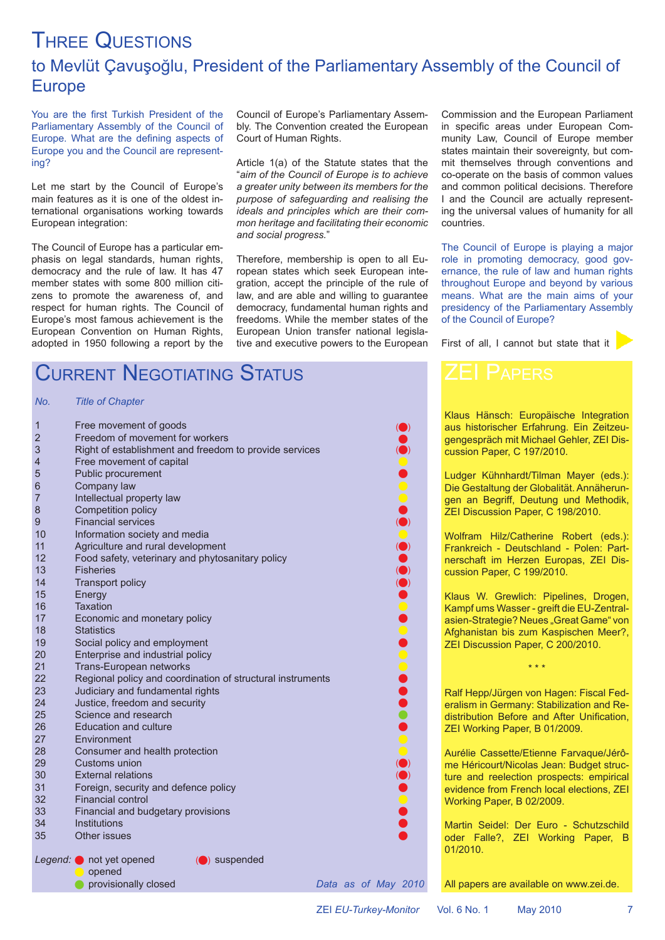# THREE QUESTIONS to Mevlüt Çavuşoğlu, President of the Parliamentary Assembly of the Council of Europe

You are the first Turkish President of the Parliamentary Assembly of the Council of Europe. What are the defining aspects of Europe you and the Council are representing?

Let me start by the Council of Europe's main features as it is one of the oldest international organisations working towards European integration:

The Council of Europe has a particular emphasis on legal standards, human rights, democracy and the rule of law. It has 47 member states with some 800 million citizens to promote the awareness of, and respect for human rights. The Council of Europe's most famous achievement is the European Convention on Human Rights, adopted in 1950 following a report by the Council of Europe's Parliamentary Assembly. The Convention created the European Court of Human Rights.

Article 1(a) of the Statute states that the "*aim of the Council of Europe is to achieve a greater unity between its members for the purpose of safeguarding and realising the ideals and principles which are their common heritage and facilitating their economic and social progress.*"

Therefore, membership is open to all European states which seek European integration, accept the principle of the rule of law, and are able and willing to guarantee democracy, fundamental human rights and freedoms. While the member states of the European Union transfer national legislative and executive powers to the European Commission and the European Parliament in specific areas under European Community Law, Council of Europe member states maintain their sovereignty, but commit themselves through conventions and co-operate on the basis of common values and common political decisions. Therefore I and the Council are actually representing the universal values of humanity for all countries.

The Council of Europe is playing a major role in promoting democracy, good governance, the rule of law and human rights throughout Europe and beyond by various means. What are the main aims of your presidency of the Parliamentary Assembly of the Council of Europe?

First of all, I cannot but state that it

# CURRENT NEGOTIATING STATUS

## *No. Title of Chapter*

| $\mathbf{1}$   | Free movement of goods                                     |  |  |                     |
|----------------|------------------------------------------------------------|--|--|---------------------|
| $\overline{2}$ | Freedom of movement for workers                            |  |  |                     |
| 3              | Right of establishment and freedom to provide services     |  |  |                     |
| 4              | Free movement of capital                                   |  |  |                     |
| 5              | Public procurement                                         |  |  |                     |
| 6              | Company law                                                |  |  |                     |
| $\overline{7}$ | Intellectual property law                                  |  |  |                     |
| 8              | Competition policy                                         |  |  |                     |
| 9              | <b>Financial services</b>                                  |  |  |                     |
| 10             | Information society and media                              |  |  |                     |
| 11             | Agriculture and rural development                          |  |  |                     |
| 12             | Food safety, veterinary and phytosanitary policy           |  |  |                     |
| 13             | <b>Fisheries</b>                                           |  |  |                     |
| 14             | <b>Transport policy</b>                                    |  |  |                     |
| 15             | Energy                                                     |  |  |                     |
| 16             | <b>Taxation</b>                                            |  |  |                     |
| 17             | Economic and monetary policy                               |  |  |                     |
| 18             | <b>Statistics</b>                                          |  |  |                     |
| 19             | Social policy and employment                               |  |  |                     |
| 20             | Enterprise and industrial policy                           |  |  |                     |
| 21             | Trans-European networks                                    |  |  |                     |
| 22             | Regional policy and coordination of structural instruments |  |  |                     |
| 23             | Judiciary and fundamental rights                           |  |  |                     |
| 24             | Justice, freedom and security                              |  |  |                     |
| 25             | Science and research                                       |  |  |                     |
| 26             | <b>Education and culture</b>                               |  |  |                     |
| 27             | Environment                                                |  |  |                     |
| 28             | Consumer and health protection                             |  |  |                     |
| 29             | Customs union                                              |  |  |                     |
| 30             | <b>External relations</b>                                  |  |  |                     |
| 31             | Foreign, security and defence policy                       |  |  |                     |
| 32             | <b>Financial control</b>                                   |  |  |                     |
| 33             | Financial and budgetary provisions                         |  |  |                     |
| 34             | Institutions                                               |  |  |                     |
| 35             | Other issues                                               |  |  |                     |
|                | Legend: not yet opened<br>(O) suspended<br>opened          |  |  |                     |
|                | provisionally closed                                       |  |  | Data as of May 2010 |



Klaus Hänsch: Europäische Integration aus historischer Erfahrung. Ein Zeitzeugengespräch mit Michael Gehler, ZEI Discussion Paper, C 197/2010.

Ludger Kühnhardt/Tilman Mayer (eds.): Die Gestaltung der Globalität. Annäherungen an Begriff, Deutung und Methodik, ZEI Discussion Paper, C 198/2010.

Wolfram Hilz/Catherine Robert (eds.): Frankreich - Deutschland - Polen: Partnerschaft im Herzen Europas, ZEI Discussion Paper, C 199/2010.

Klaus W. Grewlich: Pipelines, Drogen, Kampf ums Wasser - greift die EU-Zentralasien-Strategie? Neues "Great Game" von Afghanistan bis zum Kaspischen Meer?, ZEI Discussion Paper, C 200/2010.

Ralf Hepp/Jürgen von Hagen: Fiscal Federalism in Germany: Stabilization and Redistribution Before and After Unification, ZEI Working Paper, B 01/2009.

\* \* \*

Aurélie Cassette/Etienne Farvaque/Jérôme Héricourt/Nicolas Jean: Budget structure and reelection prospects: empirical evidence from French local elections, ZEI Working Paper, B 02/2009.

Martin Seidel: Der Euro - Schutzschild oder Falle?, ZEI Working Paper, B 01/2010.

All papers are available on www.zei.de.

ZEI *EU-Turkey-Monitor* Vol. 6 No. 1 May 2010 7